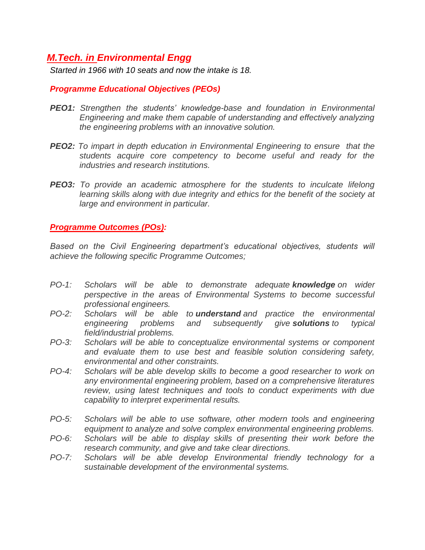## *M.Tech. in Environmental Engg*

*Started in 1966 with 10 seats and now the intake is 18.* 

## *Programme Educational Objectives (PEOs)*

- *PEO1: Strengthen the students' knowledge-base and foundation in Environmental Engineering and make them capable of understanding and effectively analyzing the engineering problems with an innovative solution.*
- *PEO2: To impart in depth education in Environmental Engineering to ensure that the students acquire core competency to become useful and ready for the industries and research institutions.*
- *PEO3: To provide an academic atmosphere for the students to inculcate lifelong learning skills along with due integrity and ethics for the benefit of the society at large and environment in particular.*

## *Programme Outcomes (POs):*

Based on the Civil Engineering department's educational objectives, students will *achieve the following specific Programme Outcomes;*

- *PO-1: Scholars will be able to demonstrate adequate knowledge on wider perspective in the areas of Environmental Systems to become successful professional engineers.*
- *PO-2: Scholars will be able to understand and practice the environmental engineering problems and subsequently give solutions to typical field/industrial problems.*
- *PO-3: Scholars will be able to conceptualize environmental systems or component and evaluate them to use best and feasible solution considering safety, environmental and other constraints.*
- *PO-4: Scholars will be able develop skills to become a good researcher to work on any environmental engineering problem, based on a comprehensive literatures review, using latest techniques and tools to conduct experiments with due capability to interpret experimental results.*
- *PO-5: Scholars will be able to use software, other modern tools and engineering equipment to analyze and solve complex environmental engineering problems.*
- *PO-6: Scholars will be able to display skills of presenting their work before the research community, and give and take clear directions.*
- *PO-7: Scholars will be able develop Environmental friendly technology for a sustainable development of the environmental systems.*